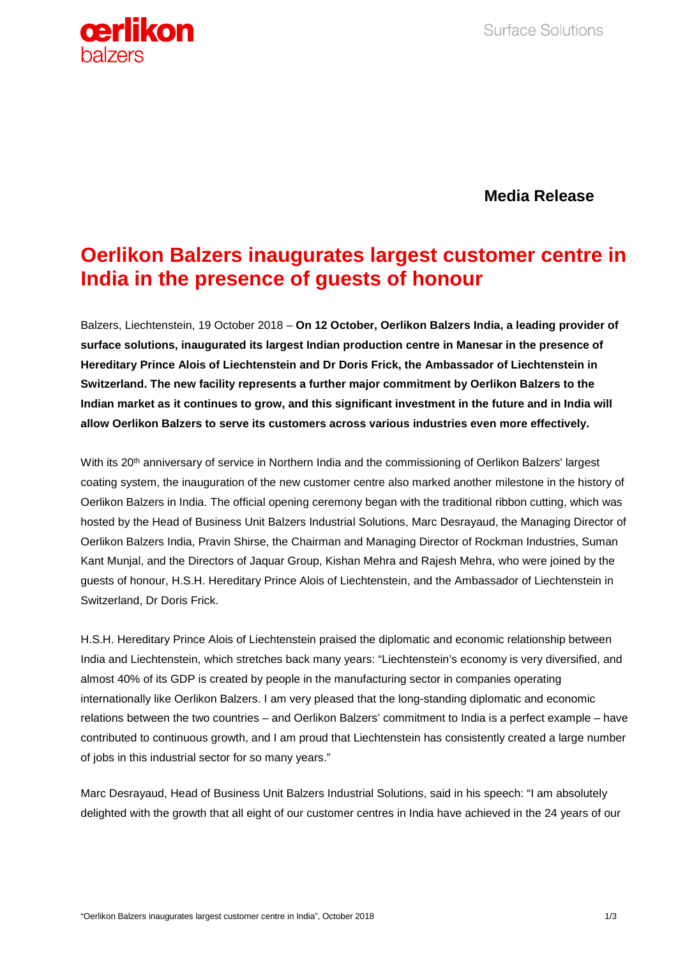

**Media Release**

# **Oerlikon Balzers inaugurates largest customer centre in India in the presence of guests of honour**

Balzers, Liechtenstein, 19 October 2018 – **On 12 October, Oerlikon Balzers India, a leading provider of surface solutions, inaugurated its largest Indian production centre in Manesar in the presence of Hereditary Prince Alois of Liechtenstein and Dr Doris Frick, the Ambassador of Liechtenstein in Switzerland. The new facility represents a further major commitment by Oerlikon Balzers to the Indian market as it continues to grow, and this significant investment in the future and in India will allow Oerlikon Balzers to serve its customers across various industries even more effectively.** 

With its 20<sup>th</sup> anniversary of service in Northern India and the commissioning of Oerlikon Balzers' largest coating system, the inauguration of the new customer centre also marked another milestone in the history of Oerlikon Balzers in India. The official opening ceremony began with the traditional ribbon cutting, which was hosted by the Head of Business Unit Balzers Industrial Solutions, Marc Desrayaud, the Managing Director of Oerlikon Balzers India, Pravin Shirse, the Chairman and Managing Director of Rockman Industries, Suman Kant Munjal, and the Directors of Jaquar Group, Kishan Mehra and Rajesh Mehra, who were joined by the guests of honour, H.S.H. Hereditary Prince Alois of Liechtenstein, and the Ambassador of Liechtenstein in Switzerland, Dr Doris Frick.

H.S.H. Hereditary Prince Alois of Liechtenstein praised the diplomatic and economic relationship between India and Liechtenstein, which stretches back many years: "Liechtenstein's economy is very diversified, and almost 40% of its GDP is created by people in the manufacturing sector in companies operating internationally like Oerlikon Balzers. I am very pleased that the long-standing diplomatic and economic relations between the two countries – and Oerlikon Balzers' commitment to India is a perfect example – have contributed to continuous growth, and I am proud that Liechtenstein has consistently created a large number of jobs in this industrial sector for so many years."

Marc Desrayaud, Head of Business Unit Balzers Industrial Solutions, said in his speech: "I am absolutely delighted with the growth that all eight of our customer centres in India have achieved in the 24 years of our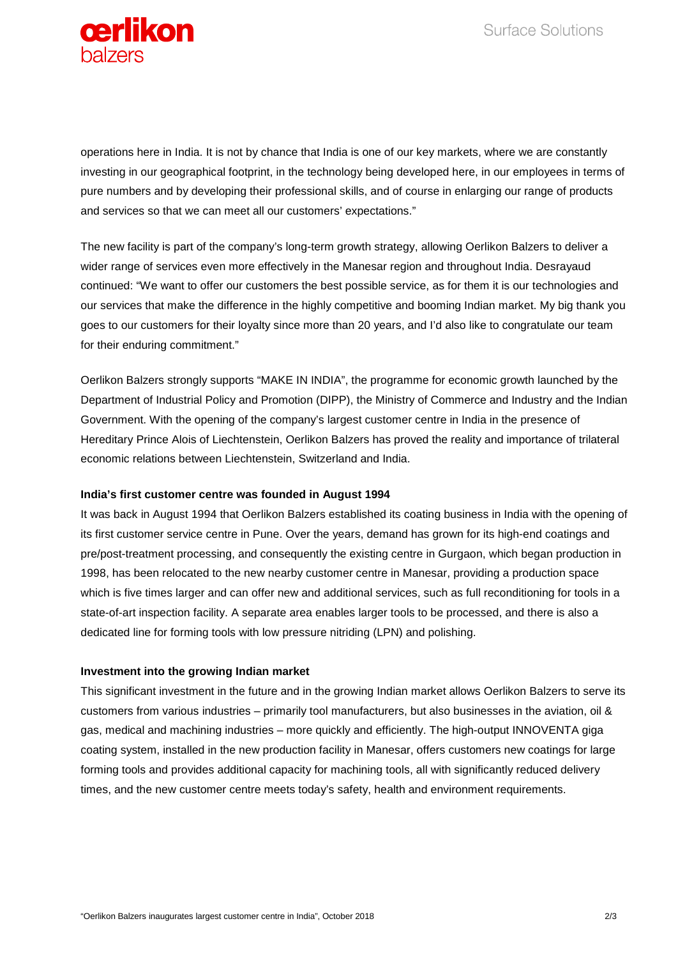

operations here in India. It is not by chance that India is one of our key markets, where we are constantly investing in our geographical footprint, in the technology being developed here, in our employees in terms of pure numbers and by developing their professional skills, and of course in enlarging our range of products and services so that we can meet all our customers' expectations."

The new facility is part of the company's long-term growth strategy, allowing Oerlikon Balzers to deliver a wider range of services even more effectively in the Manesar region and throughout India. Desrayaud continued: "We want to offer our customers the best possible service, as for them it is our technologies and our services that make the difference in the highly competitive and booming Indian market. My big thank you goes to our customers for their loyalty since more than 20 years, and I'd also like to congratulate our team for their enduring commitment."

Oerlikon Balzers strongly supports "MAKE IN INDIA", the programme for economic growth launched by the Department of Industrial Policy and Promotion (DIPP), the Ministry of Commerce and Industry and the Indian Government. With the opening of the company's largest customer centre in India in the presence of Hereditary Prince Alois of Liechtenstein, Oerlikon Balzers has proved the reality and importance of trilateral economic relations between Liechtenstein, Switzerland and India.

## **India's first customer centre was founded in August 1994**

It was back in August 1994 that Oerlikon Balzers established its coating business in India with the opening of its first customer service centre in Pune. Over the years, demand has grown for its high-end coatings and pre/post-treatment processing, and consequently the existing centre in Gurgaon, which began production in 1998, has been relocated to the new nearby customer centre in Manesar, providing a production space which is five times larger and can offer new and additional services, such as full reconditioning for tools in a state-of-art inspection facility. A separate area enables larger tools to be processed, and there is also a dedicated line for forming tools with low pressure nitriding (LPN) and polishing.

## **Investment into the growing Indian market**

This significant investment in the future and in the growing Indian market allows Oerlikon Balzers to serve its customers from various industries – primarily tool manufacturers, but also businesses in the aviation, oil & gas, medical and machining industries – more quickly and efficiently. The high-output INNOVENTA giga coating system, installed in the new production facility in Manesar, offers customers new coatings for large forming tools and provides additional capacity for machining tools, all with significantly reduced delivery times, and the new customer centre meets today's safety, health and environment requirements.